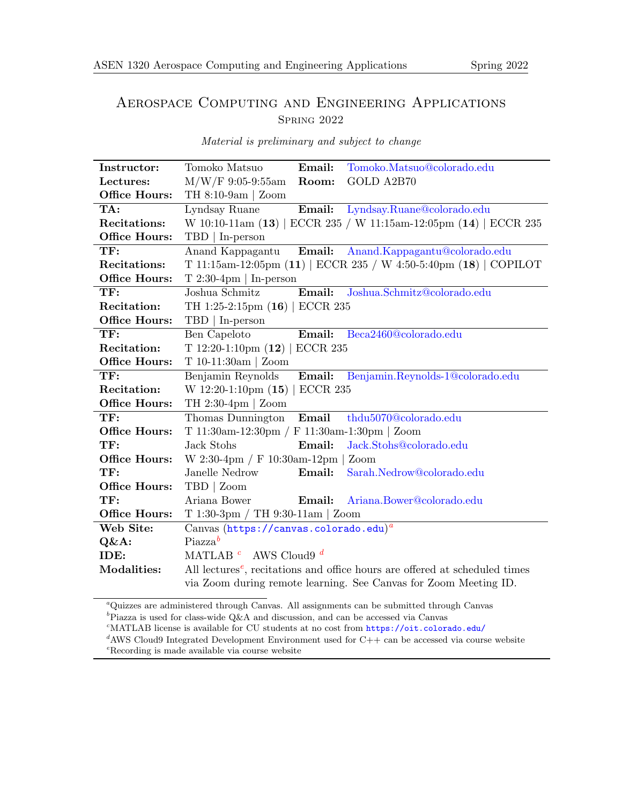# Aerospace Computing and Engineering Applications Spring 2022

|  | Material is preliminary and subject to change |  |  |
|--|-----------------------------------------------|--|--|
|--|-----------------------------------------------|--|--|

| Instructor:          | Email:<br>Tomoko Matsuo<br>Tomoko.Matsuo@colorado.edu                                                |  |  |
|----------------------|------------------------------------------------------------------------------------------------------|--|--|
| Lectures:            | GOLD A2B70<br>$M/W/F$ 9:05-9:55am<br>Room:                                                           |  |  |
| Office Hours:        | TH 8:10-9am   Zoom                                                                                   |  |  |
| TA:                  | Email:<br>Lyndsay.Ruane@colorado.edu<br>Lyndsay Ruane                                                |  |  |
| Recitations:         | W 10:10-11am (13)   ECCR 235 / W 11:15am-12:05pm (14)   ECCR 235                                     |  |  |
| <b>Office Hours:</b> | TBD   In-person                                                                                      |  |  |
| TF:                  | Anand Kappagantu Email: Anand.Kappagantu@colorado.edu                                                |  |  |
| Recitations:         | T 11:15am-12:05pm $(11)$   ECCR 235 / W 4:50-5:40pm $(18)$   COPILOT                                 |  |  |
| Office Hours:        | $T_{2:30-4\text{pm}}$   In-person                                                                    |  |  |
| TF:                  | Email:<br>Joshua Schmitz<br>Joshua.Schmitz@colorado.edu                                              |  |  |
| Recitation:          | TH 1:25-2:15pm (16)   ECCR 235                                                                       |  |  |
| <b>Office Hours:</b> | $TBD$   In-person                                                                                    |  |  |
| TF:                  | Email:<br>Beca2460@colorado.edu<br>Ben Capeloto                                                      |  |  |
| Recitation:          | T 12:20-1:10pm $(12)$   ECCR 235                                                                     |  |  |
| Office Hours:        | T 10-11:30am   Zoom                                                                                  |  |  |
| TF:                  | Email: Benjamin.Reynolds-1@colorado.edu<br>Benjamin Reynolds                                         |  |  |
| Recitation:          | W 12:20-1:10pm (15)   ECCR 235                                                                       |  |  |
| Office Hours:        | TH 2:30-4pm   Zoom                                                                                   |  |  |
| TF:                  | Thomas Dunnington<br>$E$ mail<br>thdu5070@colorado.edu                                               |  |  |
| <b>Office Hours:</b> | T 11:30am-12:30pm / F 11:30am-1:30pm   Zoom                                                          |  |  |
| TF:                  | Email:<br>Jack Stohs<br>Jack.Stohs@colorado.edu                                                      |  |  |
| Office Hours:        | W 2:30-4pm / F 10:30am-12pm   Zoom                                                                   |  |  |
| TF:                  | Janelle Nedrow<br>Email:<br>Sarah.Nedrow@colorado.edu                                                |  |  |
| <b>Office Hours:</b> | TBD   Zoom                                                                                           |  |  |
| $\mathbf{TF:}$       | Ariana Bower<br>Ariana.Bower@colorado.edu<br>Email:                                                  |  |  |
| <b>Office Hours:</b> | T 1:30-3pm / TH 9:30-11am   Zoom                                                                     |  |  |
| Web Site:            | Canvas $(\text{https://canvas.colorado.edu})^a$                                                      |  |  |
| $Q\&A$ :             | Piazza <sup>b</sup>                                                                                  |  |  |
| IDE:                 | MATLAB $^c$ AWS Cloud $^d$                                                                           |  |  |
| Modalities:          | All lectures <sup><math>e</math></sup> , recitations and office hours are offered at scheduled times |  |  |
|                      | via Zoom during remote learning. See Canvas for Zoom Meeting ID.                                     |  |  |

<span id="page-0-0"></span><sup>a</sup>Quizzes are administered through Canvas. All assignments can be submitted through Canvas

<span id="page-0-1"></span> ${}^b\rm{Piazza}$  is used for class-wide Q&A and discussion, and can be accessed via Canvas

<span id="page-0-2"></span> $c<sup>c</sup>$ MATLAB license is available for CU students at no cost from  $https://oit.colorado.edu/$ 

<span id="page-0-3"></span><sup>&</sup>lt;sup>d</sup>AWS Cloud9 Integrated Development Environment used for  $C++$  can be accessed via course website

<span id="page-0-4"></span><sup>e</sup>Recording is made available via course website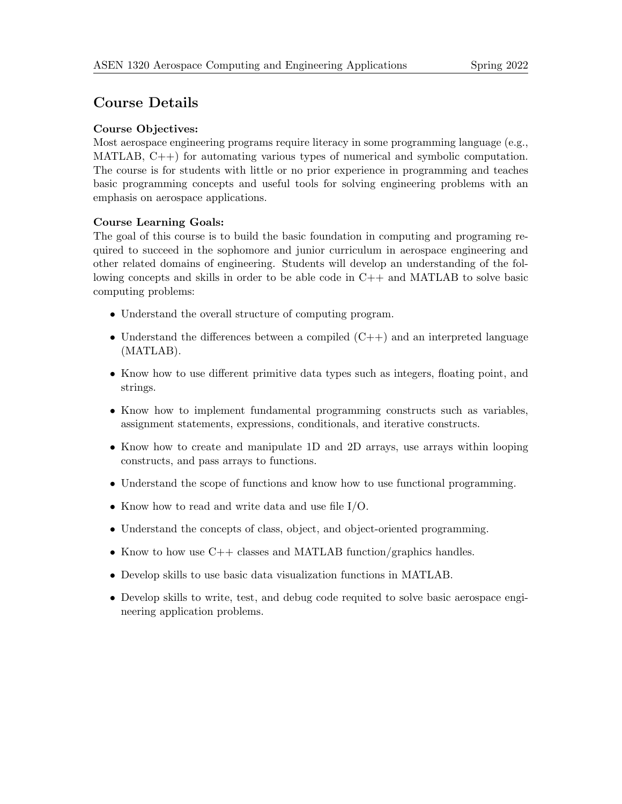# Course Details

### Course Objectives:

Most aerospace engineering programs require literacy in some programming language (e.g., MATLAB, C++) for automating various types of numerical and symbolic computation. The course is for students with little or no prior experience in programming and teaches basic programming concepts and useful tools for solving engineering problems with an emphasis on aerospace applications.

### Course Learning Goals:

The goal of this course is to build the basic foundation in computing and programing required to succeed in the sophomore and junior curriculum in aerospace engineering and other related domains of engineering. Students will develop an understanding of the following concepts and skills in order to be able code in C++ and MATLAB to solve basic computing problems:

- Understand the overall structure of computing program.
- Understand the differences between a compiled  $(C++)$  and an interpreted language (MATLAB).
- Know how to use different primitive data types such as integers, floating point, and strings.
- Know how to implement fundamental programming constructs such as variables, assignment statements, expressions, conditionals, and iterative constructs.
- Know how to create and manipulate 1D and 2D arrays, use arrays within looping constructs, and pass arrays to functions.
- Understand the scope of functions and know how to use functional programming.
- Know how to read and write data and use file I/O.
- Understand the concepts of class, object, and object-oriented programming.
- Know to how use  $C++$  classes and MATLAB function/graphics handles.
- Develop skills to use basic data visualization functions in MATLAB.
- Develop skills to write, test, and debug code requited to solve basic aerospace engineering application problems.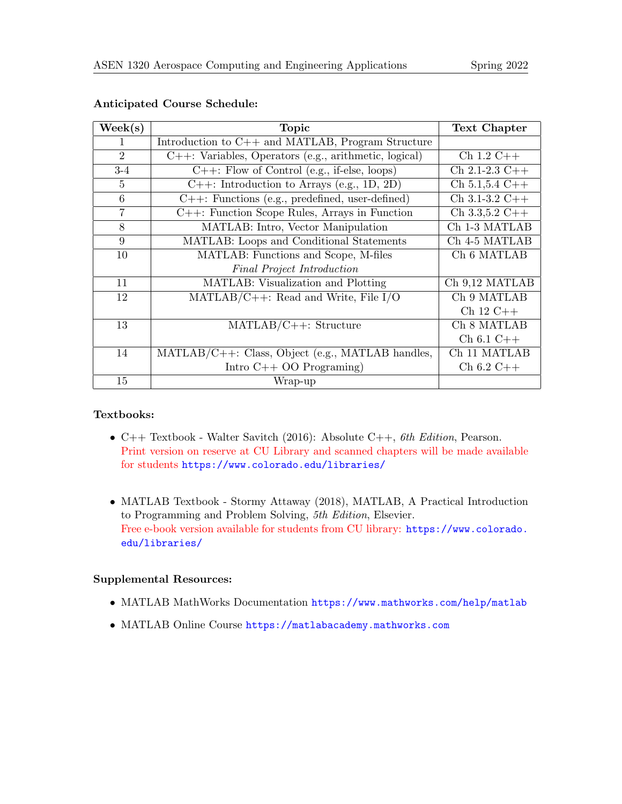| $\text{Week}(s)$ | <b>Topic</b>                                                       | <b>Text Chapter</b> |
|------------------|--------------------------------------------------------------------|---------------------|
| 1                | Introduction to C++ and MATLAB, Program Structure                  |                     |
| 2                | $\overline{C++:}$ Variables, Operators (e.g., arithmetic, logical) | $Ch 1.2 C++$        |
| $3-4$            | $C++:$ Flow of Control (e.g., if-else, loops)                      | $Ch$ 2.1-2.3 $C++$  |
| $\overline{5}$   | $C++$ : Introduction to Arrays (e.g., 1D, 2D)                      | $Ch 5.1, 5.4 C++$   |
| 6                | $C++$ : Functions (e.g., predefined, user-defined)                 | $Ch$ 3.1-3.2 $C++$  |
| $\overline{7}$   | $C++$ : Function Scope Rules, Arrays in Function                   | $Ch$ 3.3,5.2 $C++$  |
| 8                | MATLAB: Intro, Vector Manipulation                                 | Ch 1-3 MATLAB       |
| 9                | MATLAB: Loops and Conditional Statements                           | Ch 4-5 MATLAB       |
| 10               | MATLAB: Functions and Scope, M-files                               | Ch 6 MATLAB         |
|                  | Final Project Introduction                                         |                     |
| 11               | MATLAB: Visualization and Plotting                                 | Ch 9,12 MATLAB      |
| 12               | $MATLAB/C++: Read and Write, File I/O$                             | Ch 9 MATLAB         |
|                  |                                                                    | $Ch 12 C++$         |
| 13               | $MATLAB/C++: Structure$                                            | Ch 8 MATLAB         |
|                  |                                                                    | $Ch 6.1 C++$        |
| 14               | MATLAB/C++: Class, Object (e.g., MATLAB handles,                   | Ch 11 MATLAB        |
|                  | Intro $C++$ OO Programing)                                         | $Ch 6.2 C++$        |
| 15               | Wrap-up                                                            |                     |

# Anticipated Course Schedule:

# Textbooks:

- $C++$  Textbook Walter Savitch (2016): Absolute  $C++$ , 6th Edition, Pearson. Print version on reserve at CU Library and scanned chapters will be made available for students <https://www.colorado.edu/libraries/>
- MATLAB Textbook Stormy Attaway (2018), MATLAB, A Practical Introduction to Programming and Problem Solving, 5th Edition, Elsevier. Free e-book version available for students from CU library: [https://www.colorado.](https://www.colorado.edu/libraries/) [edu/libraries/](https://www.colorado.edu/libraries/)

## Supplemental Resources:

- MATLAB MathWorks Documentation <https://www.mathworks.com/help/matlab>
- MATLAB Online Course <https://matlabacademy.mathworks.com>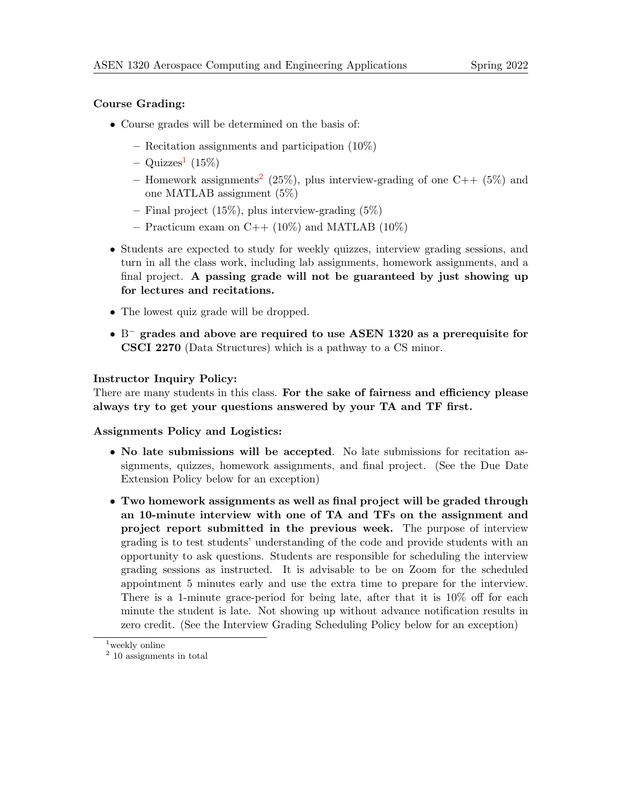# Course Grading:

- Course grades will be determined on the basis of:
	- Recitation assignments and participation (10%)
	- $-$  Quizzes<sup>[1](#page-3-0)</sup> (15%)
	- Homework assignments<sup>[2](#page-3-1)</sup> (25%), plus interview-grading of one C++ (5%) and one MATLAB assignment (5%)
	- Final project  $(15\%)$ , plus interview-grading  $(5\%)$
	- Practicum exam on  $C_{++}$  (10%) and MATLAB (10%)
- Students are expected to study for weekly quizzes, interview grading sessions, and turn in all the class work, including lab assignments, homework assignments, and a final project. A passing grade will not be guaranteed by just showing up for lectures and recitations.
- The lowest quiz grade will be dropped.
- B <sup>−</sup> grades and above are required to use ASEN 1320 as a prerequisite for CSCI 2270 (Data Structures) which is a pathway to a CS minor.

#### Instructor Inquiry Policy:

There are many students in this class. For the sake of fairness and efficiency please always try to get your questions answered by your TA and TF first.

#### Assignments Policy and Logistics:

- No late submissions will be accepted. No late submissions for recitation assignments, quizzes, homework assignments, and final project. (See the Due Date Extension Policy below for an exception)
- Two homework assignments as well as final project will be graded through an 10-minute interview with one of TA and TFs on the assignment and project report submitted in the previous week. The purpose of interview grading is to test students' understanding of the code and provide students with an opportunity to ask questions. Students are responsible for scheduling the interview grading sessions as instructed. It is advisable to be on Zoom for the scheduled appointment 5 minutes early and use the extra time to prepare for the interview. There is a 1-minute grace-period for being late, after that it is 10% off for each minute the student is late. Not showing up without advance notification results in zero credit. (See the Interview Grading Scheduling Policy below for an exception)

<span id="page-3-0"></span> $1$ weekly online

<span id="page-3-1"></span><sup>2</sup> 10 assignments in total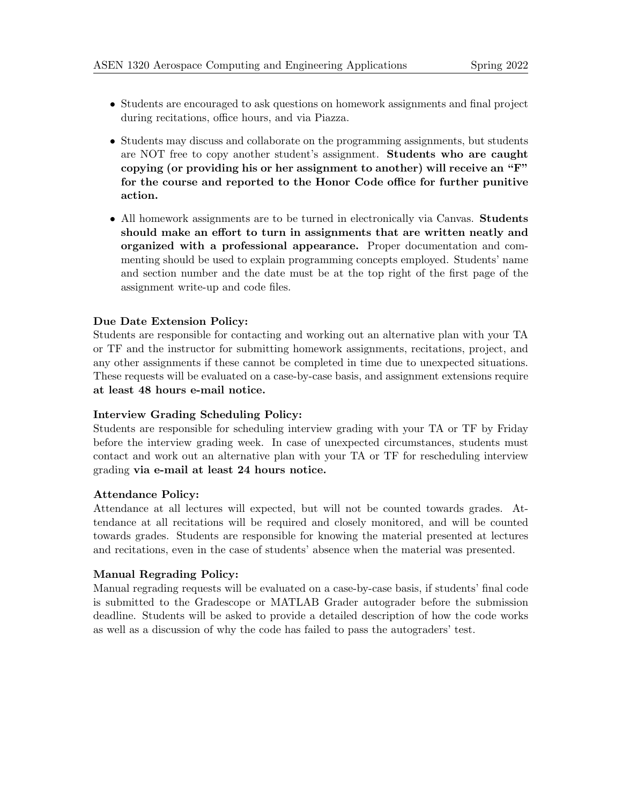- Students are encouraged to ask questions on homework assignments and final project during recitations, office hours, and via Piazza.
- Students may discuss and collaborate on the programming assignments, but students are NOT free to copy another student's assignment. Students who are caught copying (or providing his or her assignment to another) will receive an "F" for the course and reported to the Honor Code office for further punitive action.
- All homework assignments are to be turned in electronically via Canvas. **Students** should make an effort to turn in assignments that are written neatly and organized with a professional appearance. Proper documentation and commenting should be used to explain programming concepts employed. Students' name and section number and the date must be at the top right of the first page of the assignment write-up and code files.

# Due Date Extension Policy:

Students are responsible for contacting and working out an alternative plan with your TA or TF and the instructor for submitting homework assignments, recitations, project, and any other assignments if these cannot be completed in time due to unexpected situations. These requests will be evaluated on a case-by-case basis, and assignment extensions require at least 48 hours e-mail notice.

## Interview Grading Scheduling Policy:

Students are responsible for scheduling interview grading with your TA or TF by Friday before the interview grading week. In case of unexpected circumstances, students must contact and work out an alternative plan with your TA or TF for rescheduling interview grading via e-mail at least 24 hours notice.

## Attendance Policy:

Attendance at all lectures will expected, but will not be counted towards grades. Attendance at all recitations will be required and closely monitored, and will be counted towards grades. Students are responsible for knowing the material presented at lectures and recitations, even in the case of students' absence when the material was presented.

## Manual Regrading Policy:

Manual regrading requests will be evaluated on a case-by-case basis, if students' final code is submitted to the Gradescope or MATLAB Grader autograder before the submission deadline. Students will be asked to provide a detailed description of how the code works as well as a discussion of why the code has failed to pass the autograders' test.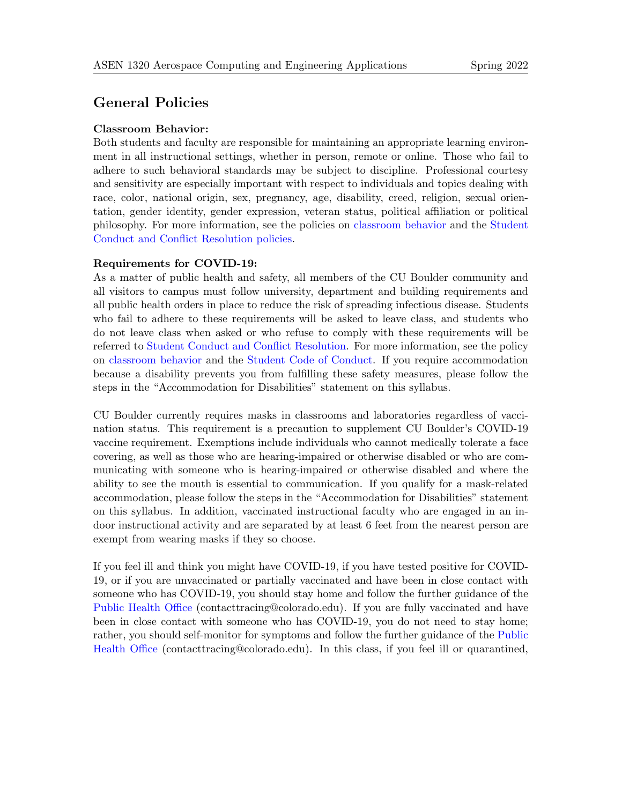# General Policies

#### Classroom Behavior:

Both students and faculty are responsible for maintaining an appropriate learning environment in all instructional settings, whether in person, remote or online. Those who fail to adhere to such behavioral standards may be subject to discipline. Professional courtesy and sensitivity are especially important with respect to individuals and topics dealing with race, color, national origin, sex, pregnancy, age, disability, creed, religion, sexual orientation, gender identity, gender expression, veteran status, political affiliation or political philosophy. For more information, see the policies on [classroom behavior](https://www.colorado.edu/policies/student-classroom-course-related-behavior) and the [Student](https://www.colorado.edu/sccr/student-conduct) [Conduct and Conflict Resolution policies.](https://www.colorado.edu/sccr/student-conduct)

#### Requirements for COVID-19:

As a matter of public health and safety, all members of the CU Boulder community and all visitors to campus must follow university, department and building requirements and all public health orders in place to reduce the risk of spreading infectious disease. Students who fail to adhere to these requirements will be asked to leave class, and students who do not leave class when asked or who refuse to comply with these requirements will be referred to [Student Conduct and Conflict Resolution.](https://www.colorado.edu/sccr/) For more information, see the policy on [classroom behavior](https://www.colorado.edu/policies/student-classroom-course-related-behavior) and the [Student Code of Conduct.](https://www.colorado.edu/sccr/) If you require accommodation because a disability prevents you from fulfilling these safety measures, please follow the steps in the "Accommodation for Disabilities" statement on this syllabus.

CU Boulder currently requires masks in classrooms and laboratories regardless of vaccination status. This requirement is a precaution to supplement CU Boulder's COVID-19 vaccine requirement. Exemptions include individuals who cannot medically tolerate a face covering, as well as those who are hearing-impaired or otherwise disabled or who are communicating with someone who is hearing-impaired or otherwise disabled and where the ability to see the mouth is essential to communication. If you qualify for a mask-related accommodation, please follow the steps in the "Accommodation for Disabilities" statement on this syllabus. In addition, vaccinated instructional faculty who are engaged in an indoor instructional activity and are separated by at least 6 feet from the nearest person are exempt from wearing masks if they so choose.

If you feel ill and think you might have COVID-19, if you have tested positive for COVID-19, or if you are unvaccinated or partially vaccinated and have been in close contact with someone who has COVID-19, you should stay home and follow the further guidance of the [Public Health Office](https://www.colorado.edu/health/public-health/quarantine-and-isolation) (contacttracing@colorado.edu). If you are fully vaccinated and have been in close contact with someone who has COVID-19, you do not need to stay home; rather, you should self-monitor for symptoms and follow the further guidance of the [Public](https://www.colorado.edu/health/public-health/quarantine-and-isolation) [Health Office](https://www.colorado.edu/health/public-health/quarantine-and-isolation) (contacttracing@colorado.edu). In this class, if you feel ill or quarantined,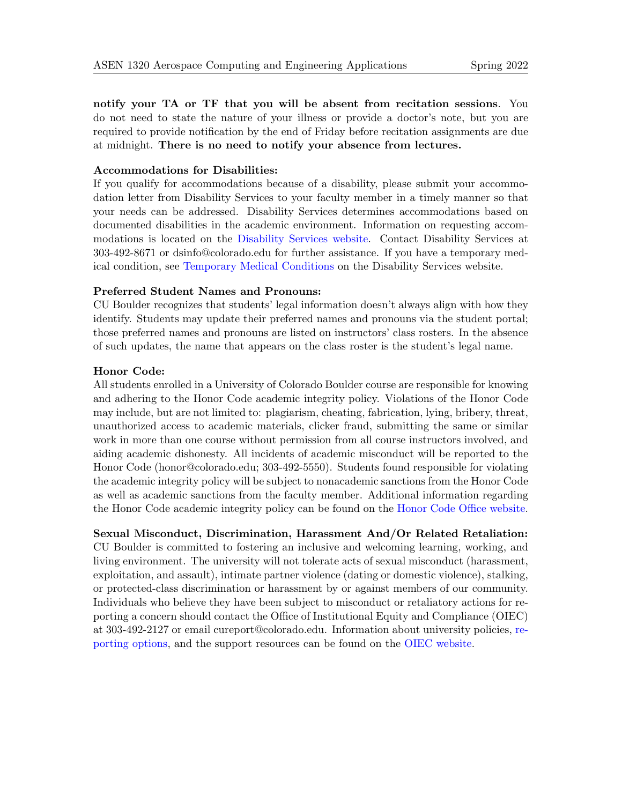notify your TA or TF that you will be absent from recitation sessions. You do not need to state the nature of your illness or provide a doctor's note, but you are required to provide notification by the end of Friday before recitation assignments are due at midnight. There is no need to notify your absence from lectures.

#### Accommodations for Disabilities:

If you qualify for accommodations because of a disability, please submit your accommodation letter from Disability Services to your faculty member in a timely manner so that your needs can be addressed. Disability Services determines accommodations based on documented disabilities in the academic environment. Information on requesting accommodations is located on the [Disability Services website.](https://www.colorado.edu/disabilityservices/) Contact Disability Services at 303-492-8671 or dsinfo@colorado.edu for further assistance. If you have a temporary medical condition, see [Temporary Medical Conditions](http://www.colorado.edu/disabilityservices/students/temporary-medical-conditions) on the Disability Services website.

### Preferred Student Names and Pronouns:

CU Boulder recognizes that students' legal information doesn't always align with how they identify. Students may update their preferred names and pronouns via the student portal; those preferred names and pronouns are listed on instructors' class rosters. In the absence of such updates, the name that appears on the class roster is the student's legal name.

### Honor Code:

All students enrolled in a University of Colorado Boulder course are responsible for knowing and adhering to the Honor Code academic integrity policy. Violations of the Honor Code may include, but are not limited to: plagiarism, cheating, fabrication, lying, bribery, threat, unauthorized access to academic materials, clicker fraud, submitting the same or similar work in more than one course without permission from all course instructors involved, and aiding academic dishonesty. All incidents of academic misconduct will be reported to the Honor Code (honor@colorado.edu; 303-492-5550). Students found responsible for violating the academic integrity policy will be subject to nonacademic sanctions from the Honor Code as well as academic sanctions from the faculty member. Additional information regarding the Honor Code academic integrity policy can be found on the [Honor Code Office website.](https://www.colorado.edu/sccr/honor-code)

Sexual Misconduct, Discrimination, Harassment And/Or Related Retaliation: CU Boulder is committed to fostering an inclusive and welcoming learning, working, and living environment. The university will not tolerate acts of sexual misconduct (harassment, exploitation, and assault), intimate partner violence (dating or domestic violence), stalking, or protected-class discrimination or harassment by or against members of our community. Individuals who believe they have been subject to misconduct or retaliatory actions for reporting a concern should contact the Office of Institutional Equity and Compliance (OIEC) at 303-492-2127 or email cureport@colorado.edu. Information about university policies, [re](https://www.colorado.edu/oiec/reporting-resolutions/making-report)[porting options,](https://www.colorado.edu/oiec/reporting-resolutions/making-report) and the support resources can be found on the [OIEC website.](https://www.colorado.edu/oiec/)